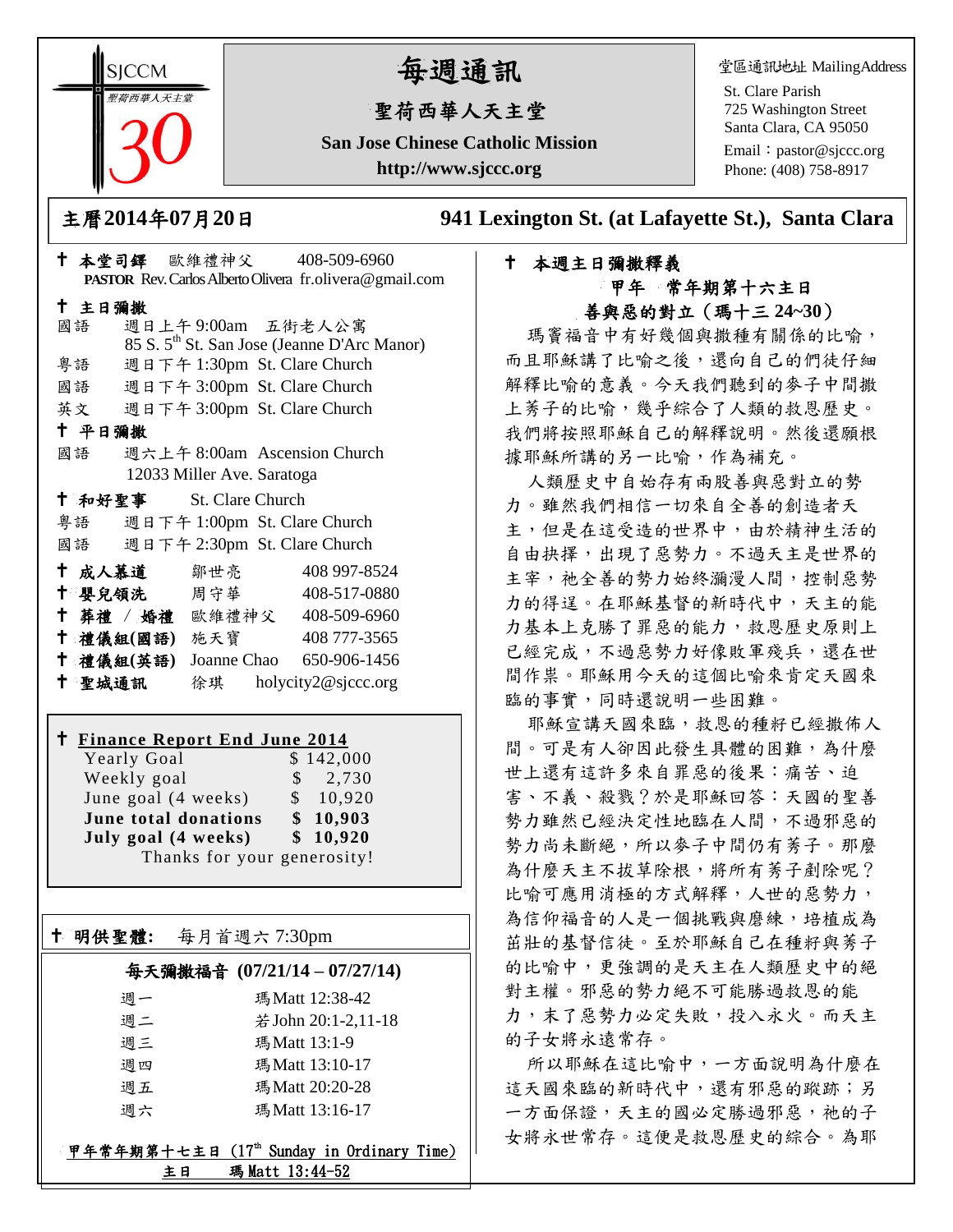**SICCM** 智荷西華人天主義

# 每週通訊

# 聖荷西華人天主堂

**San Jose Chinese Catholic Mission http://www.sjccc.org**

堂區通訊地址 MailingAddress

St. Clare Parish 725 Washington Street Santa Clara, CA 95050

Email: [pastor@sjccc.org](mailto:pastor@sjccc.org) Phone: (408) 758-8917

主曆**2014**年**07**月**20**日 **941 Lexington St. (at Lafayette St.), Santa Clara** 

# 本週主日彌撒釋義 甲年 常年期第十六主日 善與惡的對立(瑪十三 **24~30**)

瑪竇福音中有好幾個與撒種有關係的比喻, 而且耶穌講了比喻之後,還向自己的們徒仔細 解釋比喻的意義。今天我們聽到的麥子中間撒 上莠子的比喻,幾乎綜合了人類的救恩歷史。 我們將按照耶穌自己的解釋說明。然後還願根 據耶穌所講的另一比喻,作為補充。

人類歷史中自始存有兩股善與惡對立的勢 力。雖然我們相信一切來自全善的創造者天 主,但是在這受造的世界中,由於精神生活的 自由抉擇,出現了惡勢力。不過天主是世界的 主宰, 祂全善的勢力始終瀰漫人間, 控制惡勢 力的得逞。在耶穌基督的新時代中,天主的能 力基本上克勝了罪惡的能力,救恩歷史原則上 已經完成,不過惡勢力好像敗軍殘兵,還在世 間作祟。耶穌用今天的這個比喻來肯定天國來 臨的事實,同時還說明一些困難。

耶穌宣講天國來臨,救恩的種籽已經撒佈人 間。可是有人卻因此發生具體的困難,為什麼 世上還有這許多來自罪惡的後果:痛苦、迫 害、不義、殺戮?於是耶穌回答:天國的聖善 勢力雖然已經決定性地臨在人間,不過邪惡的 勢力尚未斷絕,所以麥子中間仍有莠子。那麼 為什麼天主不拔草除根,將所有莠子剷除呢? 比喻可應用消極的方式解釋,人世的惡勢力, 為信仰福音的人是一個挑戰與磨練,培植成為 茁壯的基督信徒。至於耶穌自己在種籽與莠子 的比喻中,更強調的是天主在人類歷史中的絕 對主權。邪惡的勢力絕不可能勝過救恩的能 力,末了惡勢力必定失敗,投入永火。而天主 的子女將永遠常存。

所以耶穌在這比喻中,一方面說明為什麼在 這天國來臨的新時代中,還有邪惡的蹤跡;另 一方面保證,天主的國必定勝過邪惡,祂的子 女將永世常存。這便是救恩歷史的綜合。為耶

| PASTOR Rev. Carlos Alberto Olivera fr.olivera@gmail.com |        |                                    |                            |  |                                                         |  |
|---------------------------------------------------------|--------|------------------------------------|----------------------------|--|---------------------------------------------------------|--|
| 十 主日彌撒                                                  |        |                                    |                            |  |                                                         |  |
|                                                         | 國語     |                                    |                            |  | 週日上午9:00am 五街老人公寓                                       |  |
|                                                         |        |                                    |                            |  | 85 S. 5 <sup>th</sup> St. San Jose (Jeanne D'Arc Manor) |  |
|                                                         | 粤語     |                                    |                            |  | 週日下午 1:30pm St. Clare Church                            |  |
|                                                         |        |                                    |                            |  | 國語 週日下午 3:00pm St. Clare Church                         |  |
|                                                         |        |                                    |                            |  | 英文 週日下午 3:00pm St. Clare Church                         |  |
| 十 平日彌撒                                                  |        |                                    |                            |  |                                                         |  |
|                                                         | 國語     |                                    |                            |  | 週六上午 8:00am Ascension Church                            |  |
|                                                         |        |                                    | 12033 Miller Ave. Saratoga |  |                                                         |  |
|                                                         |        | <sup>†</sup> 和好聖事 St. Clare Church |                            |  |                                                         |  |
|                                                         |        |                                    |                            |  | 粤語 週日下午 1:00pm St. Clare Church                         |  |
|                                                         |        |                                    |                            |  | 國語 週日下午 2:30pm St. Clare Church                         |  |
|                                                         |        | † 成人慕道   鄒世亮                       |                            |  | 408 997-8524                                            |  |
|                                                         |        |                                    |                            |  | † 嬰兒領洗 周守華 408-517-0880                                 |  |
|                                                         |        |                                    |                            |  | + 葬禮 / 婚禮 歐維禮神父 408-509-6960                            |  |
|                                                         |        | 十 禮儀組(國語) 施天寶                      |                            |  | 408 777-3565                                            |  |
|                                                         |        | 十 禮儀組(英語)                          |                            |  | Joanne Chao 650-906-1456                                |  |
|                                                         | 十 聖城通訊 |                                    |                            |  | 徐琪 holycity2@sjccc.org                                  |  |

本堂司鐸 歐維禮神父 408-509-6960

## **Finance Report End June 2014**

Yearly Goal \$142,000 Weekly goal  $\qquad$  \$ 2,730 June goal  $(4 \text{ weeks})$  \$ 10,920 **June total donations \$ 10,903 July goal (4 weeks) \$ 10,920** Thanks for your generosity!

明供聖體**:** 每月首週六 7:30pm

Ξ

### 每天彌撒福音 **(07/21/14 – 07/27/14)**

| 调一 | 瑪Matt 12:38-42      |
|----|---------------------|
| 週二 | 若 John 20:1-2,11-18 |
| 週三 | 瑪Matt 13:1-9        |
| 週四 | 瑪Matt 13:10-17      |
| 週五 | 瑪Matt 20:20-28      |
| 週六 | 瑪Matt 13:16-17      |
|    |                     |

甲年常年期第十七主日 (17th Sunday in Ordinary Time) 主日 瑪 Matt 13:44-52